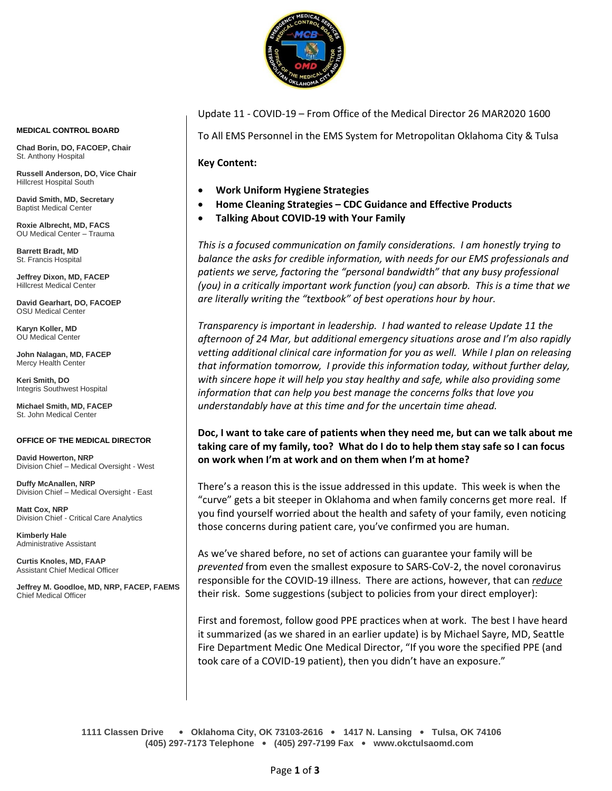

Update 11 - COVID-19 – From Office of the Medical Director 26 MAR2020 1600

To All EMS Personnel in the EMS System for Metropolitan Oklahoma City & Tulsa

**Key Content:**

- **Work Uniform Hygiene Strategies**
- **Home Cleaning Strategies – CDC Guidance and Effective Products**
- **Talking About COVID-19 with Your Family**

*This is a focused communication on family considerations. I am honestly trying to balance the asks for credible information, with needs for our EMS professionals and patients we serve, factoring the "personal bandwidth" that any busy professional (you) in a critically important work function (you) can absorb. This is a time that we are literally writing the "textbook" of best operations hour by hour.*

*Transparency is important in leadership. I had wanted to release Update 11 the afternoon of 24 Mar, but additional emergency situations arose and I'm also rapidly vetting additional clinical care information for you as well. While I plan on releasing that information tomorrow, I provide this information today, without further delay, with sincere hope it will help you stay healthy and safe, while also providing some information that can help you best manage the concerns folks that love you understandably have at this time and for the uncertain time ahead.*

**Doc, I want to take care of patients when they need me, but can we talk about me taking care of my family, too? What do I do to help them stay safe so I can focus on work when I'm at work and on them when I'm at home?**

There's a reason this is the issue addressed in this update. This week is when the "curve" gets a bit steeper in Oklahoma and when family concerns get more real. If you find yourself worried about the health and safety of your family, even noticing those concerns during patient care, you've confirmed you are human.

As we've shared before, no set of actions can guarantee your family will be *prevented* from even the smallest exposure to SARS-CoV-2, the novel coronavirus responsible for the COVID-19 illness. There are actions, however, that can *reduce*  their risk. Some suggestions (subject to policies from your direct employer):

First and foremost, follow good PPE practices when at work. The best I have heard it summarized (as we shared in an earlier update) is by Michael Sayre, MD, Seattle Fire Department Medic One Medical Director, "If you wore the specified PPE (and took care of a COVID-19 patient), then you didn't have an exposure."

**1111 Classen Drive** • **Oklahoma City, OK 73103-2616** • **1417 N. Lansing** • **Tulsa, OK 74106 (405) 297-7173 Telephone** • **(405) 297-7199 Fax** • **www.okctulsaomd.com**

#### **MEDICAL CONTROL BOARD**

**Chad Borin, DO, FACOEP, Chair**  St. Anthony Hospital

**Russell Anderson, DO, Vice Chair** Hillcrest Hospital South

**David Smith, MD, Secretary** Baptist Medical Center

**Roxie Albrecht, MD, FACS** OU Medical Center – Trauma

**Barrett Bradt, MD** St. Francis Hospital

**Jeffrey Dixon, MD, FACEP** Hillcrest Medical Center

**David Gearhart, DO, FACOEP** OSU Medical Center

**Karyn Koller, MD** OU Medical Center

**John Nalagan, MD, FACEP** Mercy Health Center

**Keri Smith, DO** Integris Southwest Hospital

**Michael Smith, MD, FACEP** St. John Medical Center

#### **OFFICE OF THE MEDICAL DIRECTOR**

**David Howerton, NRP** Division Chief – Medical Oversight - West

**Duffy McAnallen, NRP** Division Chief – Medical Oversight - East

**Matt Cox, NRP** Division Chief - Critical Care Analytics

**Kimberly Hale** Administrative Assistant

**Curtis Knoles, MD, FAAP** Assistant Chief Medical Officer

**Jeffrey M. Goodloe, MD, NRP, FACEP, FAEMS** Chief Medical Officer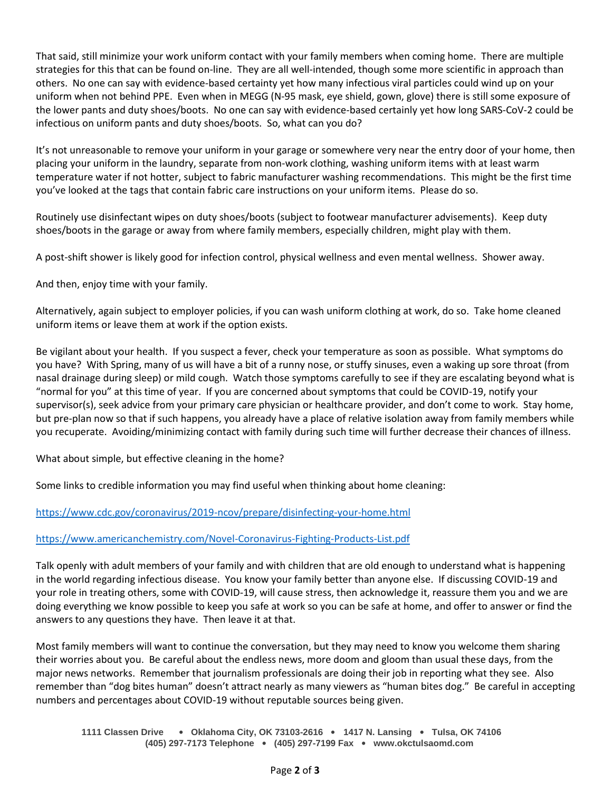That said, still minimize your work uniform contact with your family members when coming home. There are multiple strategies for this that can be found on-line. They are all well-intended, though some more scientific in approach than others. No one can say with evidence-based certainty yet how many infectious viral particles could wind up on your uniform when not behind PPE. Even when in MEGG (N-95 mask, eye shield, gown, glove) there is still some exposure of the lower pants and duty shoes/boots. No one can say with evidence-based certainly yet how long SARS-CoV-2 could be infectious on uniform pants and duty shoes/boots. So, what can you do?

It's not unreasonable to remove your uniform in your garage or somewhere very near the entry door of your home, then placing your uniform in the laundry, separate from non-work clothing, washing uniform items with at least warm temperature water if not hotter, subject to fabric manufacturer washing recommendations. This might be the first time you've looked at the tags that contain fabric care instructions on your uniform items. Please do so.

Routinely use disinfectant wipes on duty shoes/boots (subject to footwear manufacturer advisements). Keep duty shoes/boots in the garage or away from where family members, especially children, might play with them.

A post-shift shower is likely good for infection control, physical wellness and even mental wellness. Shower away.

And then, enjoy time with your family.

Alternatively, again subject to employer policies, if you can wash uniform clothing at work, do so. Take home cleaned uniform items or leave them at work if the option exists.

Be vigilant about your health. If you suspect a fever, check your temperature as soon as possible. What symptoms do you have? With Spring, many of us will have a bit of a runny nose, or stuffy sinuses, even a waking up sore throat (from nasal drainage during sleep) or mild cough. Watch those symptoms carefully to see if they are escalating beyond what is "normal for you" at this time of year. If you are concerned about symptoms that could be COVID-19, notify your supervisor(s), seek advice from your primary care physician or healthcare provider, and don't come to work. Stay home, but pre-plan now so that if such happens, you already have a place of relative isolation away from family members while you recuperate. Avoiding/minimizing contact with family during such time will further decrease their chances of illness.

What about simple, but effective cleaning in the home?

Some links to credible information you may find useful when thinking about home cleaning:

# <https://www.cdc.gov/coronavirus/2019-ncov/prepare/disinfecting-your-home.html>

# <https://www.americanchemistry.com/Novel-Coronavirus-Fighting-Products-List.pdf>

Talk openly with adult members of your family and with children that are old enough to understand what is happening in the world regarding infectious disease. You know your family better than anyone else. If discussing COVID-19 and your role in treating others, some with COVID-19, will cause stress, then acknowledge it, reassure them you and we are doing everything we know possible to keep you safe at work so you can be safe at home, and offer to answer or find the answers to any questions they have. Then leave it at that.

Most family members will want to continue the conversation, but they may need to know you welcome them sharing their worries about you. Be careful about the endless news, more doom and gloom than usual these days, from the major news networks. Remember that journalism professionals are doing their job in reporting what they see. Also remember than "dog bites human" doesn't attract nearly as many viewers as "human bites dog." Be careful in accepting numbers and percentages about COVID-19 without reputable sources being given.